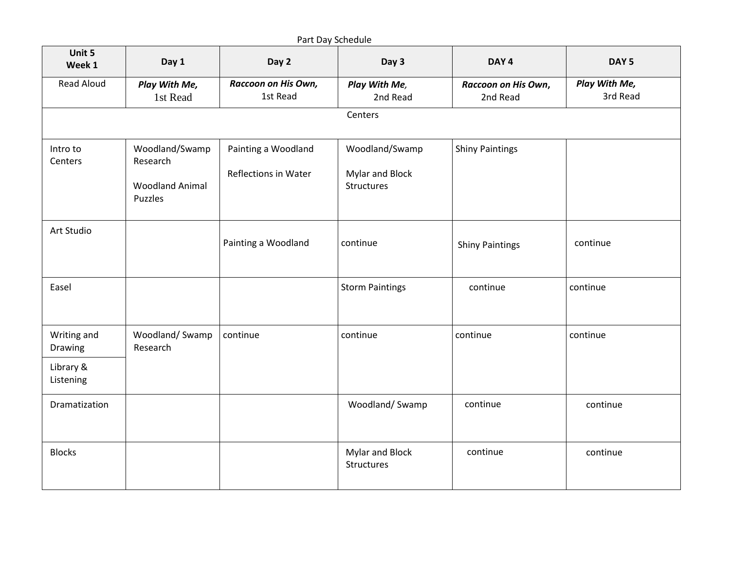| Unit 5<br>Week 1       | Day 1                                                           | Day 2                                              | Day 3                                           | DAY <sub>4</sub>                | DAY <sub>5</sub>          |
|------------------------|-----------------------------------------------------------------|----------------------------------------------------|-------------------------------------------------|---------------------------------|---------------------------|
| <b>Read Aloud</b>      | Play With Me,<br>1st Read                                       | Raccoon on His Own,<br>1st Read                    | Play With Me,<br>2nd Read                       | Raccoon on His Own,<br>2nd Read | Play With Me,<br>3rd Read |
|                        |                                                                 |                                                    | Centers                                         |                                 |                           |
| Intro to<br>Centers    | Woodland/Swamp<br>Research<br><b>Woodland Animal</b><br>Puzzles | Painting a Woodland<br><b>Reflections in Water</b> | Woodland/Swamp<br>Mylar and Block<br>Structures | <b>Shiny Paintings</b>          |                           |
| Art Studio             |                                                                 | Painting a Woodland                                | continue                                        | <b>Shiny Paintings</b>          | continue                  |
| Easel                  |                                                                 |                                                    | <b>Storm Paintings</b>                          | continue                        | continue                  |
| Writing and<br>Drawing | Woodland/Swamp<br>Research                                      | continue                                           | continue                                        | continue                        | continue                  |
| Library &<br>Listening |                                                                 |                                                    |                                                 |                                 |                           |
| Dramatization          |                                                                 |                                                    | Woodland/Swamp                                  | continue                        | continue                  |
| <b>Blocks</b>          |                                                                 |                                                    | Mylar and Block<br>Structures                   | continue                        | continue                  |